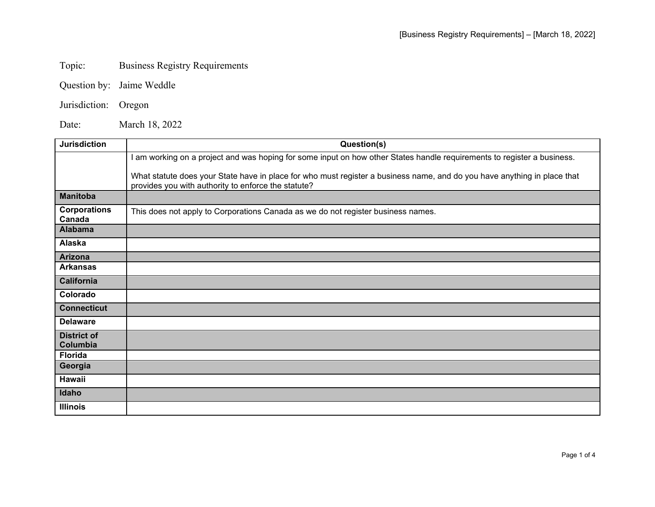## Topic: Business Registry Requirements

- Question by: Jaime Weddle
- Jurisdiction: Oregon

Date: March 18, 2022

| <b>Jurisdiction</b>            | Question(s)                                                                                                                                                                     |
|--------------------------------|---------------------------------------------------------------------------------------------------------------------------------------------------------------------------------|
|                                | am working on a project and was hoping for some input on how other States handle requirements to register a business.                                                           |
|                                | What statute does your State have in place for who must register a business name, and do you have anything in place that<br>provides you with authority to enforce the statute? |
| <b>Manitoba</b>                |                                                                                                                                                                                 |
| <b>Corporations</b><br>Canada  | This does not apply to Corporations Canada as we do not register business names.                                                                                                |
| <b>Alabama</b>                 |                                                                                                                                                                                 |
| Alaska                         |                                                                                                                                                                                 |
| <b>Arizona</b>                 |                                                                                                                                                                                 |
| <b>Arkansas</b>                |                                                                                                                                                                                 |
| <b>California</b>              |                                                                                                                                                                                 |
| Colorado                       |                                                                                                                                                                                 |
| <b>Connecticut</b>             |                                                                                                                                                                                 |
| <b>Delaware</b>                |                                                                                                                                                                                 |
| <b>District of</b><br>Columbia |                                                                                                                                                                                 |
| <b>Florida</b>                 |                                                                                                                                                                                 |
| Georgia                        |                                                                                                                                                                                 |
| Hawaii                         |                                                                                                                                                                                 |
| Idaho                          |                                                                                                                                                                                 |
| <b>Illinois</b>                |                                                                                                                                                                                 |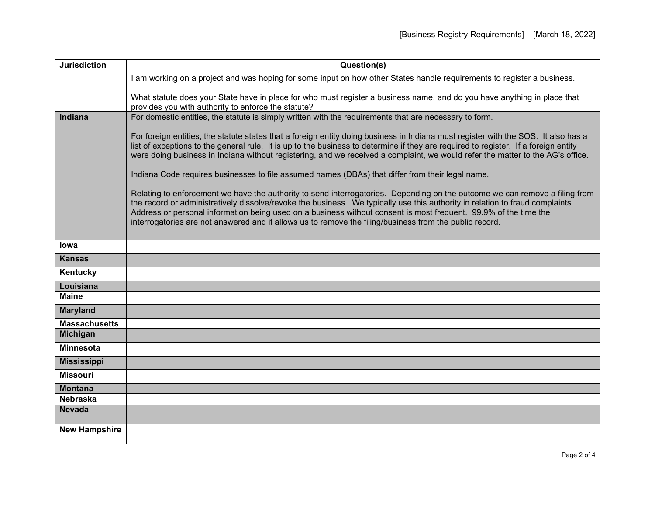| <b>Jurisdiction</b>  | Question(s)                                                                                                                                                                                                                                                                                                                                                                                                                                                                                 |
|----------------------|---------------------------------------------------------------------------------------------------------------------------------------------------------------------------------------------------------------------------------------------------------------------------------------------------------------------------------------------------------------------------------------------------------------------------------------------------------------------------------------------|
|                      | am working on a project and was hoping for some input on how other States handle requirements to register a business.                                                                                                                                                                                                                                                                                                                                                                       |
|                      | What statute does your State have in place for who must register a business name, and do you have anything in place that<br>provides you with authority to enforce the statute?                                                                                                                                                                                                                                                                                                             |
| Indiana              | For domestic entities, the statute is simply written with the requirements that are necessary to form.                                                                                                                                                                                                                                                                                                                                                                                      |
|                      | For foreign entities, the statute states that a foreign entity doing business in Indiana must register with the SOS. It also has a<br>list of exceptions to the general rule. It is up to the business to determine if they are required to register. If a foreign entity<br>were doing business in Indiana without registering, and we received a complaint, we would refer the matter to the AG's office.                                                                                 |
|                      | Indiana Code requires businesses to file assumed names (DBAs) that differ from their legal name.                                                                                                                                                                                                                                                                                                                                                                                            |
|                      | Relating to enforcement we have the authority to send interrogatories. Depending on the outcome we can remove a filing from<br>the record or administratively dissolve/revoke the business. We typically use this authority in relation to fraud complaints.<br>Address or personal information being used on a business without consent is most frequent. 99.9% of the time the<br>interrogatories are not answered and it allows us to remove the filing/business from the public record. |
| <b>lowa</b>          |                                                                                                                                                                                                                                                                                                                                                                                                                                                                                             |
| <b>Kansas</b>        |                                                                                                                                                                                                                                                                                                                                                                                                                                                                                             |
| Kentucky             |                                                                                                                                                                                                                                                                                                                                                                                                                                                                                             |
| Louisiana            |                                                                                                                                                                                                                                                                                                                                                                                                                                                                                             |
| <b>Maine</b>         |                                                                                                                                                                                                                                                                                                                                                                                                                                                                                             |
| <b>Maryland</b>      |                                                                                                                                                                                                                                                                                                                                                                                                                                                                                             |
| <b>Massachusetts</b> |                                                                                                                                                                                                                                                                                                                                                                                                                                                                                             |
| <b>Michigan</b>      |                                                                                                                                                                                                                                                                                                                                                                                                                                                                                             |
| <b>Minnesota</b>     |                                                                                                                                                                                                                                                                                                                                                                                                                                                                                             |
| <b>Mississippi</b>   |                                                                                                                                                                                                                                                                                                                                                                                                                                                                                             |
| <b>Missouri</b>      |                                                                                                                                                                                                                                                                                                                                                                                                                                                                                             |
| <b>Montana</b>       |                                                                                                                                                                                                                                                                                                                                                                                                                                                                                             |
| <b>Nebraska</b>      |                                                                                                                                                                                                                                                                                                                                                                                                                                                                                             |
| <b>Nevada</b>        |                                                                                                                                                                                                                                                                                                                                                                                                                                                                                             |
| <b>New Hampshire</b> |                                                                                                                                                                                                                                                                                                                                                                                                                                                                                             |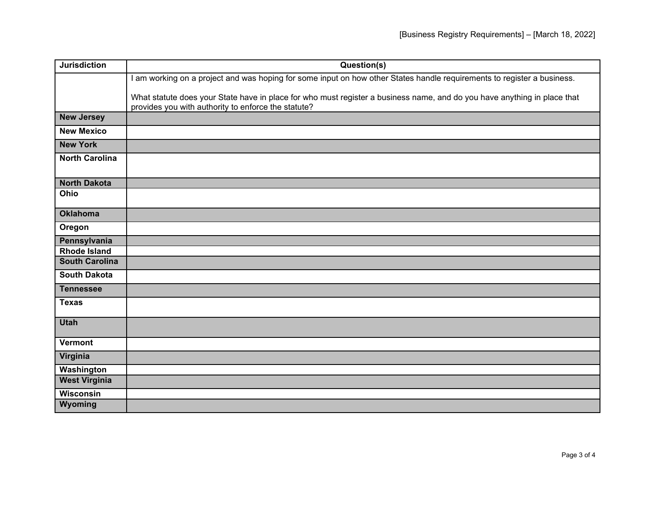| <b>Jurisdiction</b>   | Question(s)                                                                                                                                                                     |
|-----------------------|---------------------------------------------------------------------------------------------------------------------------------------------------------------------------------|
|                       | I am working on a project and was hoping for some input on how other States handle requirements to register a business.                                                         |
|                       | What statute does your State have in place for who must register a business name, and do you have anything in place that<br>provides you with authority to enforce the statute? |
| <b>New Jersey</b>     |                                                                                                                                                                                 |
| <b>New Mexico</b>     |                                                                                                                                                                                 |
| <b>New York</b>       |                                                                                                                                                                                 |
| <b>North Carolina</b> |                                                                                                                                                                                 |
| <b>North Dakota</b>   |                                                                                                                                                                                 |
| Ohio                  |                                                                                                                                                                                 |
| <b>Oklahoma</b>       |                                                                                                                                                                                 |
| Oregon                |                                                                                                                                                                                 |
| Pennsylvania          |                                                                                                                                                                                 |
| <b>Rhode Island</b>   |                                                                                                                                                                                 |
| <b>South Carolina</b> |                                                                                                                                                                                 |
| <b>South Dakota</b>   |                                                                                                                                                                                 |
| <b>Tennessee</b>      |                                                                                                                                                                                 |
| <b>Texas</b>          |                                                                                                                                                                                 |
| <b>Utah</b>           |                                                                                                                                                                                 |
| Vermont               |                                                                                                                                                                                 |
| Virginia              |                                                                                                                                                                                 |
| Washington            |                                                                                                                                                                                 |
| <b>West Virginia</b>  |                                                                                                                                                                                 |
| Wisconsin             |                                                                                                                                                                                 |
| Wyoming               |                                                                                                                                                                                 |